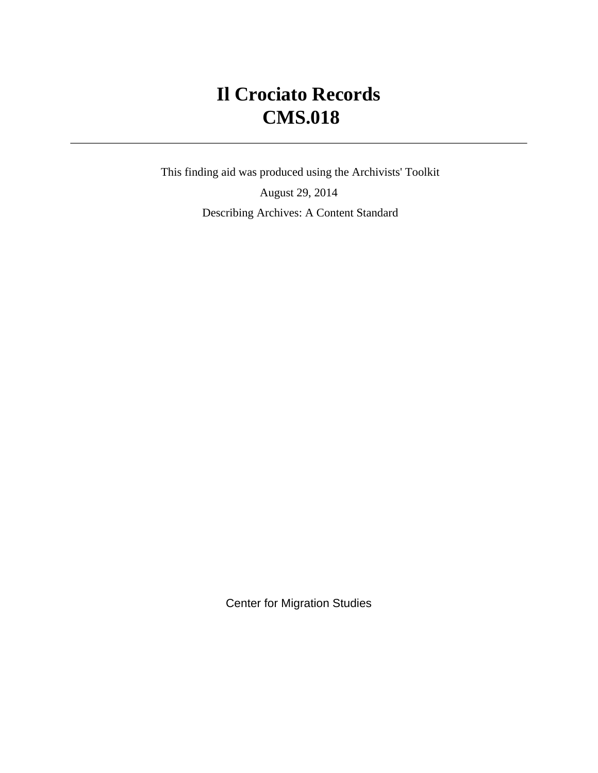# **Il Crociato Records CMS.018**

 This finding aid was produced using the Archivists' Toolkit August 29, 2014 Describing Archives: A Content Standard

Center for Migration Studies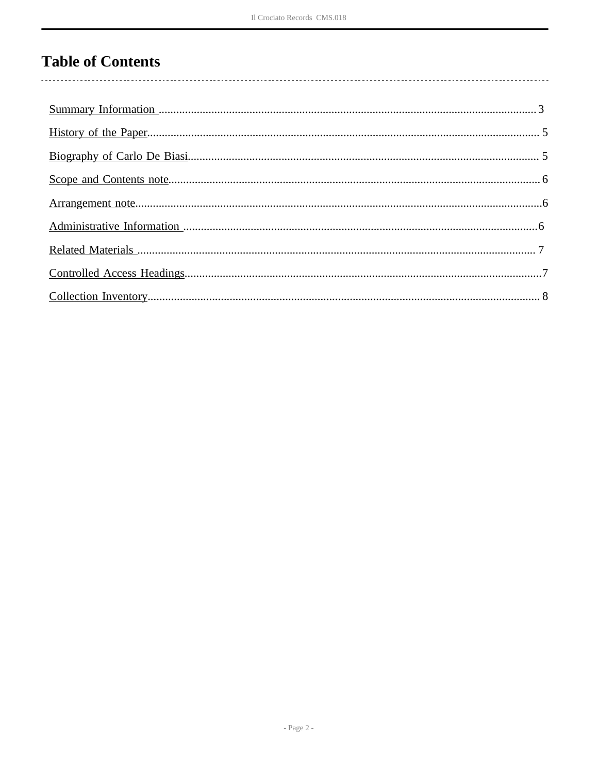# **Table of Contents**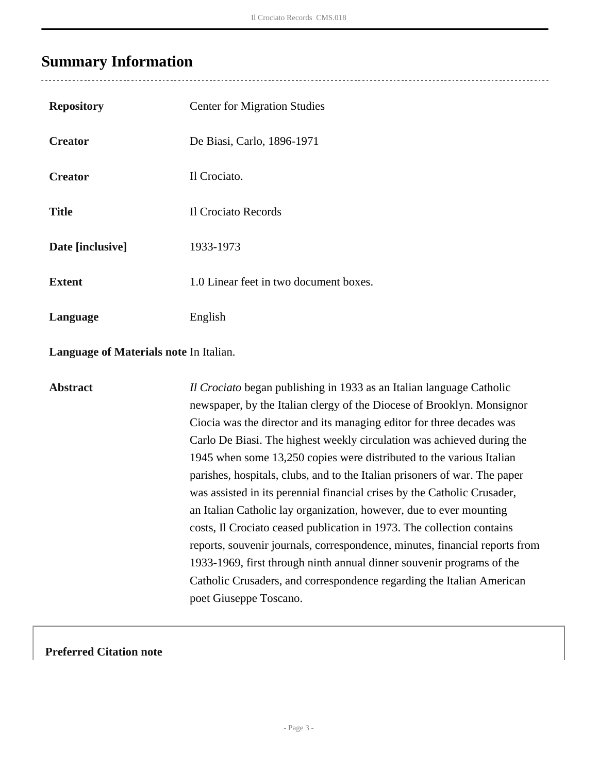### <span id="page-2-0"></span>**Summary Information**

| <b>Repository</b> | <b>Center for Migration Studies</b>    |
|-------------------|----------------------------------------|
| <b>Creator</b>    | De Biasi, Carlo, 1896-1971             |
| <b>Creator</b>    | Il Crociato.                           |
| <b>Title</b>      | Il Crociato Records                    |
| Date [inclusive]  | 1933-1973                              |
| <b>Extent</b>     | 1.0 Linear feet in two document boxes. |
| Language          | English                                |

**Language of Materials note** In Italian.

**Abstract** *Il Crociato* began publishing in 1933 as an Italian language Catholic newspaper, by the Italian clergy of the Diocese of Brooklyn. Monsignor Ciocia was the director and its managing editor for three decades was Carlo De Biasi. The highest weekly circulation was achieved during the 1945 when some 13,250 copies were distributed to the various Italian parishes, hospitals, clubs, and to the Italian prisoners of war. The paper was assisted in its perennial financial crises by the Catholic Crusader, an Italian Catholic lay organization, however, due to ever mounting costs, Il Crociato ceased publication in 1973. The collection contains reports, souvenir journals, correspondence, minutes, financial reports from 1933-1969, first through ninth annual dinner souvenir programs of the Catholic Crusaders, and correspondence regarding the Italian American poet Giuseppe Toscano.

#### **Preferred Citation note**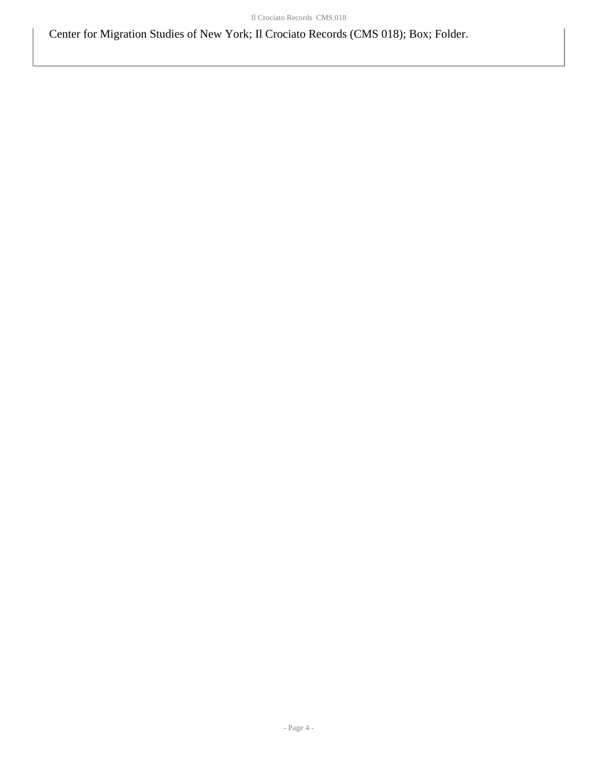Center for Migration Studies of New York; Il Crociato Records (CMS 018); Box; Folder.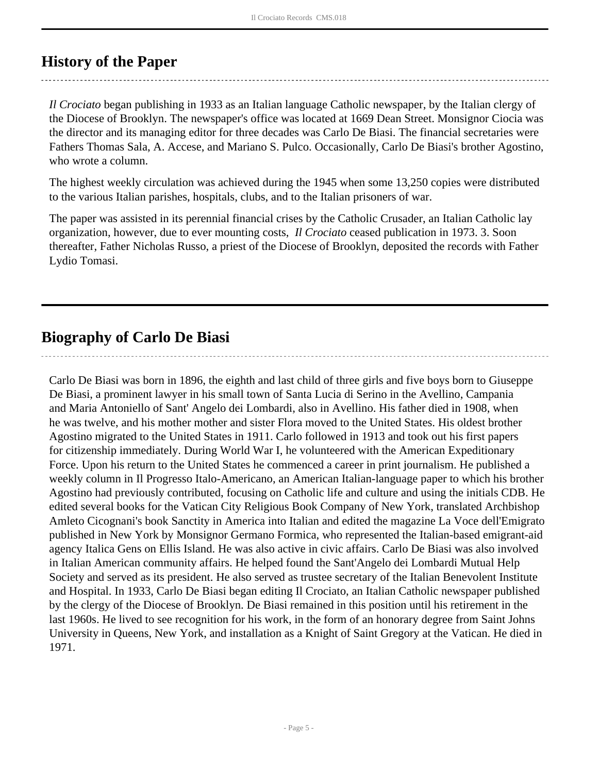## <span id="page-4-0"></span>**History of the Paper**

*Il Crociato* began publishing in 1933 as an Italian language Catholic newspaper, by the Italian clergy of the Diocese of Brooklyn. The newspaper's office was located at 1669 Dean Street. Monsignor Ciocia was the director and its managing editor for three decades was Carlo De Biasi. The financial secretaries were Fathers Thomas Sala, A. Accese, and Mariano S. Pulco. Occasionally, Carlo De Biasi's brother Agostino, who wrote a column.

The highest weekly circulation was achieved during the 1945 when some 13,250 copies were distributed to the various Italian parishes, hospitals, clubs, and to the Italian prisoners of war.

The paper was assisted in its perennial financial crises by the Catholic Crusader, an Italian Catholic lay organization, however, due to ever mounting costs, *Il Crociato* ceased publication in 1973. 3. Soon thereafter, Father Nicholas Russo, a priest of the Diocese of Brooklyn, deposited the records with Father Lydio Tomasi.

# <span id="page-4-1"></span>**Biography of Carlo De Biasi**

Carlo De Biasi was born in 1896, the eighth and last child of three girls and five boys born to Giuseppe De Biasi, a prominent lawyer in his small town of Santa Lucia di Serino in the Avellino, Campania and Maria Antoniello of Sant' Angelo dei Lombardi, also in Avellino. His father died in 1908, when he was twelve, and his mother mother and sister Flora moved to the United States. His oldest brother Agostino migrated to the United States in 1911. Carlo followed in 1913 and took out his first papers for citizenship immediately. During World War I, he volunteered with the American Expeditionary Force. Upon his return to the United States he commenced a career in print journalism. He published a weekly column in Il Progresso Italo-Americano, an American Italian-language paper to which his brother Agostino had previously contributed, focusing on Catholic life and culture and using the initials CDB. He edited several books for the Vatican City Religious Book Company of New York, translated Archbishop Amleto Cicognani's book Sanctity in America into Italian and edited the magazine La Voce dell'Emigrato published in New York by Monsignor Germano Formica, who represented the Italian-based emigrant-aid agency Italica Gens on Ellis Island. He was also active in civic affairs. Carlo De Biasi was also involved in Italian American community affairs. He helped found the Sant'Angelo dei Lombardi Mutual Help Society and served as its president. He also served as trustee secretary of the Italian Benevolent Institute and Hospital. In 1933, Carlo De Biasi began editing Il Crociato, an Italian Catholic newspaper published by the clergy of the Diocese of Brooklyn. De Biasi remained in this position until his retirement in the last 1960s. He lived to see recognition for his work, in the form of an honorary degree from Saint Johns University in Queens, New York, and installation as a Knight of Saint Gregory at the Vatican. He died in 1971.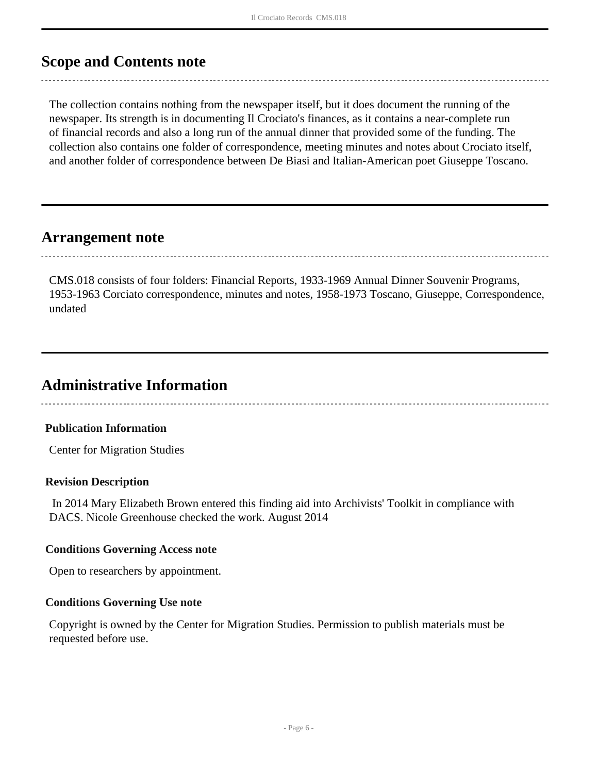## <span id="page-5-0"></span>**Scope and Contents note**

The collection contains nothing from the newspaper itself, but it does document the running of the newspaper. Its strength is in documenting Il Crociato's finances, as it contains a near-complete run of financial records and also a long run of the annual dinner that provided some of the funding. The collection also contains one folder of correspondence, meeting minutes and notes about Crociato itself, and another folder of correspondence between De Biasi and Italian-American poet Giuseppe Toscano.

## <span id="page-5-1"></span>**Arrangement note**

CMS.018 consists of four folders: Financial Reports, 1933-1969 Annual Dinner Souvenir Programs, 1953-1963 Corciato correspondence, minutes and notes, 1958-1973 Toscano, Giuseppe, Correspondence, undated

## <span id="page-5-2"></span>**Administrative Information**

#### **Publication Information**

Center for Migration Studies

#### **Revision Description**

 In 2014 Mary Elizabeth Brown entered this finding aid into Archivists' Toolkit in compliance with DACS. Nicole Greenhouse checked the work. August 2014

#### **Conditions Governing Access note**

Open to researchers by appointment.

#### **Conditions Governing Use note**

Copyright is owned by the Center for Migration Studies. Permission to publish materials must be requested before use.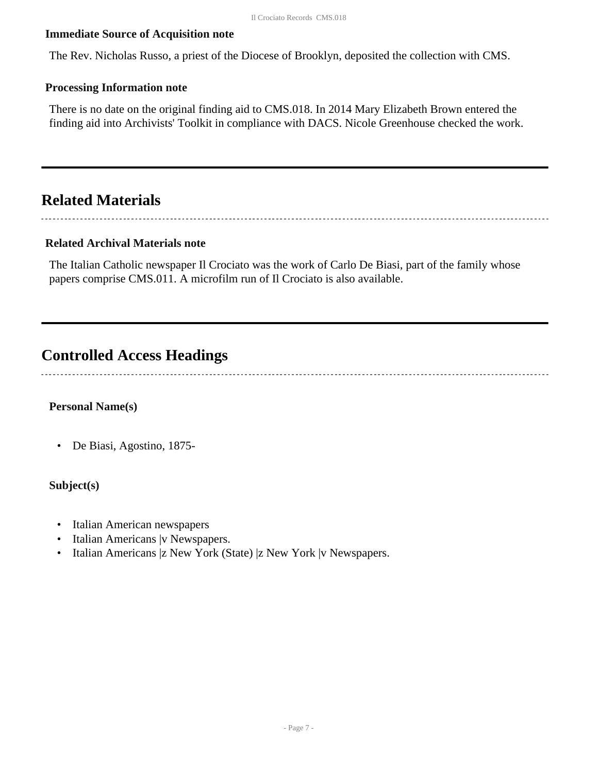#### **Immediate Source of Acquisition note**

The Rev. Nicholas Russo, a priest of the Diocese of Brooklyn, deposited the collection with CMS.

#### **Processing Information note**

There is no date on the original finding aid to CMS.018. In 2014 Mary Elizabeth Brown entered the finding aid into Archivists' Toolkit in compliance with DACS. Nicole Greenhouse checked the work.

## <span id="page-6-0"></span>**Related Materials**

#### **Related Archival Materials note**

The Italian Catholic newspaper Il Crociato was the work of Carlo De Biasi, part of the family whose papers comprise CMS.011. A microfilm run of Il Crociato is also available.

### <span id="page-6-1"></span>**Controlled Access Headings**

#### **Personal Name(s)**

• De Biasi, Agostino, 1875-

#### **Subject(s)**

- Italian American newspapers
- Italian Americans |v Newspapers.
- Italian Americans |z New York (State) |z New York |v Newspapers.